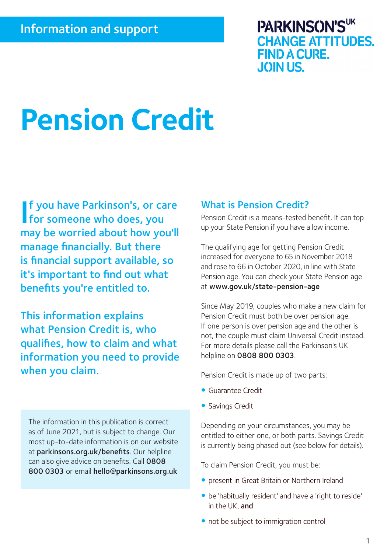# PARKINSON'S **CHANGE ATTITUDES. FIND A CURE. JOIN US.**

# **Pension Credit**

I f you have Parkinson's, or care for someone who does, you may be worried about how you'll manage financially. But there is financial support available, so it's important to find out what benefits you're entitled to.

This information explains what Pension Credit is, who qualifies, how to claim and what information you need to provide when you claim.

The information in this publication is correct as of June 2021, but is subject to change. Our most up-to-date information is on our website at parkinsons.org.uk/benefits. Our helpline can also give advice on benefits. Call 0808 800 0303 or email hello@parkinsons.org.uk

## What is Pension Credit?

Pension Credit is a means-tested benefit. It can top up your State Pension if you have a low income.

The qualifying age for getting Pension Credit increased for everyone to 65 in November 2018 and rose to 66 in October 2020, in line with State Pension age. You can check your State Pension age at www.gov.uk/state-pension-age

Since May 2019, couples who make a new claim for Pension Credit must both be over pension age. If one person is over pension age and the other is not, the couple must claim Universal Credit instead. For more details please call the Parkinson's UK helpline on 0808 800 0303.

Pension Credit is made up of two parts:

- **Guarantee Credit**
- Savings Credit

Depending on your circumstances, you may be entitled to either one, or both parts. Savings Credit is currently being phased out (see below for details).

To claim Pension Credit, you must be:

- **•** present in Great Britain or Northern Ireland
- be 'habitually resident' and have a 'right to reside' in the UK, and
- not be subject to immigration control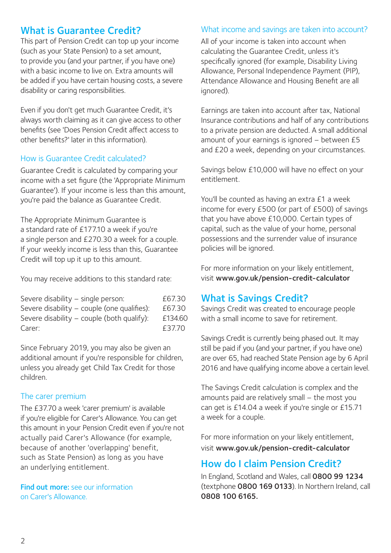## What is Guarantee Credit?

This part of Pension Credit can top up your income (such as your State Pension) to a set amount, to provide you (and your partner, if you have one) with a basic income to live on. Extra amounts will be added if you have certain housing costs, a severe disability or caring responsibilities.

Even if you don't get much Guarantee Credit, it's always worth claiming as it can give access to other benefits (see 'Does Pension Credit affect access to other benefits?' later in this information).

#### How is Guarantee Credit calculated?

Guarantee Credit is calculated by comparing your income with a set figure (the 'Appropriate Minimum Guarantee'). If your income is less than this amount, you're paid the balance as Guarantee Credit.

The Appropriate Minimum Guarantee is a standard rate of £177.10 a week if you're a single person and £270.30 a week for a couple. If your weekly income is less than this, Guarantee Credit will top up it up to this amount.

You may receive additions to this standard rate:

| Severe disability - single person:          | £67.30  |
|---------------------------------------------|---------|
| Severe disability - couple (one qualifies): | £67.30  |
| Severe disability – couple (both qualify):  | £134.60 |
| Carer:                                      | £37.70  |

Since February 2019, you may also be given an additional amount if you're responsible for children, unless you already get Child Tax Credit for those children.

#### The carer premium

The £37.70 a week 'carer premium' is available if you're eligible for Carer's Allowance. You can get this amount in your Pension Credit even if you're not actually paid Carer's Allowance (for example, because of another 'overlapping' benefit, such as State Pension) as long as you have an underlying entitlement.

Find out more: see our information on Carer's Allowance.

#### What income and savings are taken into account?

All of your income is taken into account when calculating the Guarantee Credit, unless it's specifically ignored (for example, Disability Living Allowance, Personal Independence Payment (PIP), Attendance Allowance and Housing Benefit are all ignored).

Earnings are taken into account after tax, National Insurance contributions and half of any contributions to a private pension are deducted. A small additional amount of your earnings is ignored – between £5 and £20 a week, depending on your circumstances.

Savings below £10,000 will have no effect on your entitlement.

You'll be counted as having an extra £1 a week income for every £500 (or part of £500) of savings that you have above £10,000. Certain types of capital, such as the value of your home, personal possessions and the surrender value of insurance policies will be ignored.

For more information on your likely entitlement, visit www.gov.uk/pension-credit-calculator

## What is Savings Credit?

Savings Credit was created to encourage people with a small income to save for retirement.

Savings Credit is currently being phased out. It may still be paid if you (and your partner, if you have one) are over 65, had reached State Pension age by 6 April 2016 and have qualifying income above a certain level.

The Savings Credit calculation is complex and the amounts paid are relatively small – the most you can get is £14.04 a week if you're single or £15.71 a week for a couple.

For more information on your likely entitlement, visit www.gov.uk/pension-credit-calculator

## How do I claim Pension Credit?

In England, Scotland and Wales, call 0800 99 1234 (textphone 0800 169 0133). In Northern Ireland, call 0808 100 6165.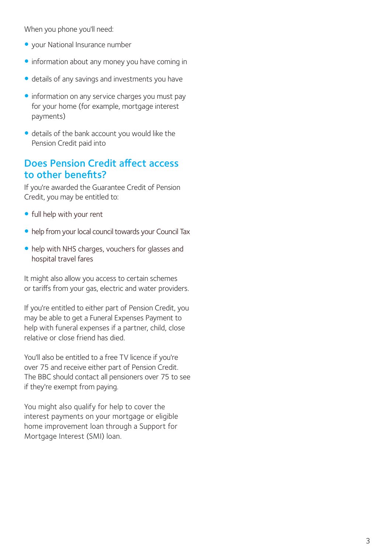When you phone you'll need:

- y your National Insurance number
- information about any money you have coming in
- details of any savings and investments you have
- information on any service charges you must pay for your home (for example, mortgage interest payments)
- details of the bank account you would like the Pension Credit paid into

## Does Pension Credit affect access to other benefits?

If you're awarded the Guarantee Credit of Pension Credit, you may be entitled to:

- full help with your rent
- help from your local council towards your Council Tax
- help with NHS charges, vouchers for glasses and hospital travel fares

It might also allow you access to certain schemes or tariffs from your gas, electric and water providers.

If you're entitled to either part of Pension Credit, you may be able to get a Funeral Expenses Payment to help with funeral expenses if a partner, child, close relative or close friend has died.

You'll also be entitled to a free TV licence if you're over 75 and receive either part of Pension Credit. The BBC should contact all pensioners over 75 to see if they're exempt from paying.

You might also qualify for help to cover the interest payments on your mortgage or eligible home improvement loan through a Support for Mortgage Interest (SMI) loan.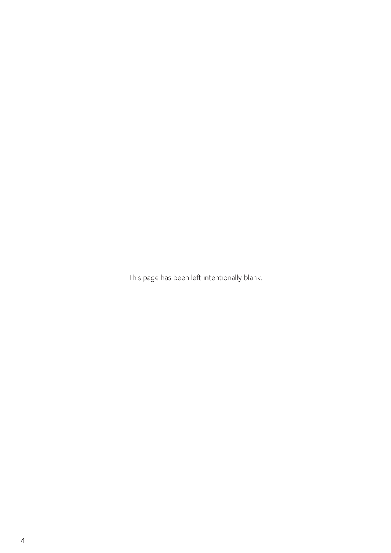This page has been left intentionally blank.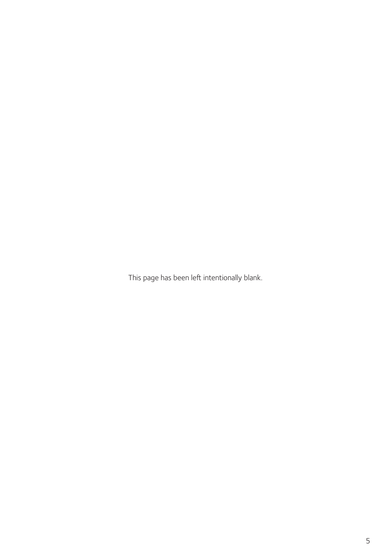This page has been left intentionally blank.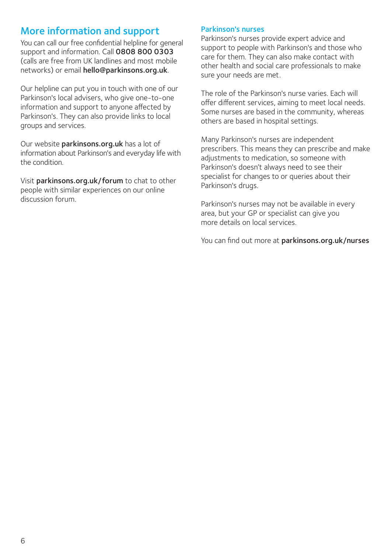## More information and support

You can call our free confidential helpline for general support and information. Call 0808 800 0303 (calls are free from UK landlines and most mobile networks) or email hello@parkinsons.org.uk.

Our helpline can put you in touch with one of our Parkinson's local advisers, who give one-to-one information and support to anyone affected by Parkinson's. They can also provide links to local groups and services.

Our website parkinsons.org.uk has a lot of information about Parkinson's and everyday life with the condition.

Visit parkinsons.org.uk/forum to chat to other people with similar experiences on our online discussion forum.

#### Parkinson's nurses

Parkinson's nurses provide expert advice and support to people with Parkinson's and those who care for them. They can also make contact with other health and social care professionals to make sure your needs are met.

The role of the Parkinson's nurse varies. Each will offer different services, aiming to meet local needs. Some nurses are based in the community, whereas others are based in hospital settings.

Many Parkinson's nurses are independent prescribers. This means they can prescribe and make adjustments to medication, so someone with Parkinson's doesn't always need to see their specialist for changes to or queries about their Parkinson's drugs.

Parkinson's nurses may not be available in every area, but your GP or specialist can give you more details on local services.

You can find out more at parkinsons.org.uk/nurses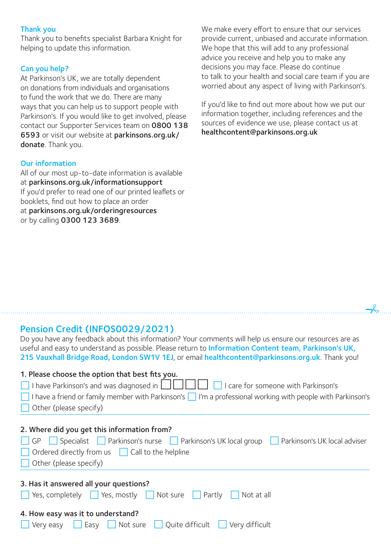#### Thank you

Thank you to benefits specialist Barbara Knight for helping to update this information.

#### Can you help?

At Parkinson's UK, we are totally dependent on donations from individuals and organisations to fund the work that we do. There are many ways that you can help us to support people with Parkinson's. If you would like to get involved, please contact our Supporter Services team on 0800 138 6593 or visit our website at parkinsons.org.uk/ donate. Thank you.

#### Our information

All of our most up-to-date information is available at parkinsons.org.uk/informationsupport If you'd prefer to read one of our printed leaflets or booklets, find out how to place an order at parkinsons.org.uk/orderingresources or by calling 0300 123 3689.

We make every effort to ensure that our services provide current, unbiased and accurate information. We hope that this will add to any professional advice you receive and help you to make any decisions you may face. Please do continue to talk to your health and social care team if you are worried about any aspect of living with Parkinson's.

If you'd like to find out more about how we put our information together, including references and the sources of evidence we use, please contact us at healthcontent@parkinsons.org.uk

 $\frac{2}{\sqrt{2}}$ 

### Pension Credit (INFOS0029/2021)

Do you have any feedback about this information? Your comments will help us ensure our resources are as useful and easy to understand as possible. Please return to Information Content team, Parkinson's UK, 215 Vauxhall Bridge Road, London SW1V 1EJ, or email healthcontent@parkinsons.org.uk. Thank you!

| 1. Please choose the option that best fits you.<br>$\Box$ I have Parkinson's and was diagnosed in $\Box$<br>I care for someone with Parkinson's<br>I have a friend or family member with Parkinson's $\Box$ I'm a professional working with people with Parkinson's<br>Other (please specify) |
|-----------------------------------------------------------------------------------------------------------------------------------------------------------------------------------------------------------------------------------------------------------------------------------------------|
| 2. Where did you get this information from?<br>Specialist Parkinson's nurse Parkinson's UK local group Parkinson's UK local adviser<br>GP<br>Ordered directly from us $\Box$ Call to the helpline<br>Other (please specify)                                                                   |
| 3. Has it answered all your questions?<br>Yes, completely Yes, mostly Not sure Partly<br>$\vert$ Not at all<br>4. How easy was it to understand?<br>Very easy   Easy   Not sure   Quite difficult<br>  Very difficult                                                                         |